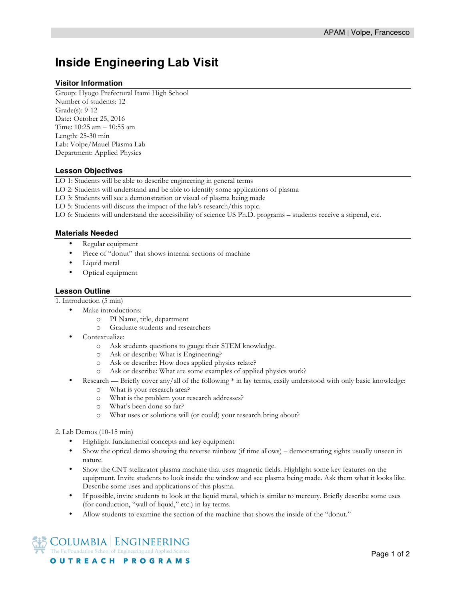# **Inside Engineering Lab Visit**

## **Visitor Information**

Group: Hyogo Prefectural Itami High School Number of students: 12 Grade(s): 9-12 Date**:** October 25, 2016 Time: 10:25 am – 10:55 am Length: 25-30 min Lab: Volpe/Mauel Plasma Lab Department: Applied Physics

## **Lesson Objectives**

LO 1: Students will be able to describe engineering in general terms

LO 2: Students will understand and be able to identify some applications of plasma

LO 3: Students will see a demonstration or visual of plasma being made

LO 5: Students will discuss the impact of the lab's research/this topic.

LO 6: Students will understand the accessibility of science US Ph.D. programs – students receive a stipend, etc.

#### **Materials Needed**

- Regular equipment
- Piece of "donut" that shows internal sections of machine
- Liquid metal
- Optical equipment

#### **Lesson Outline**

1. Introduction (5 min)

- Make introductions:
	- o PI Name, title, department
	- o Graduate students and researchers
- Contextualize:
	- o Ask students questions to gauge their STEM knowledge.
	- o Ask or describe: What is Engineering?
	- o Ask or describe: How does applied physics relate?
	- o Ask or describe: What are some examples of applied physics work?
- Research Briefly cover any/all of the following \* in lay terms, easily understood with only basic knowledge:
	- o What is your research area?
	- o What is the problem your research addresses?
	- o What's been done so far?
	- o What uses or solutions will (or could) your research bring about?

### 2. Lab Demos (10-15 min)

- Highlight fundamental concepts and key equipment
- Show the optical demo showing the reverse rainbow (if time allows) demonstrating sights usually unseen in nature.
- Show the CNT stellarator plasma machine that uses magnetic fields. Highlight some key features on the equipment. Invite students to look inside the window and see plasma being made. Ask them what it looks like. Describe some uses and applications of this plasma.
- If possible, invite students to look at the liquid metal, which is similar to mercury. Briefly describe some uses (for conduction, "wall of liquid," etc.) in lay terms.
- Allow students to examine the section of the machine that shows the inside of the "donut."